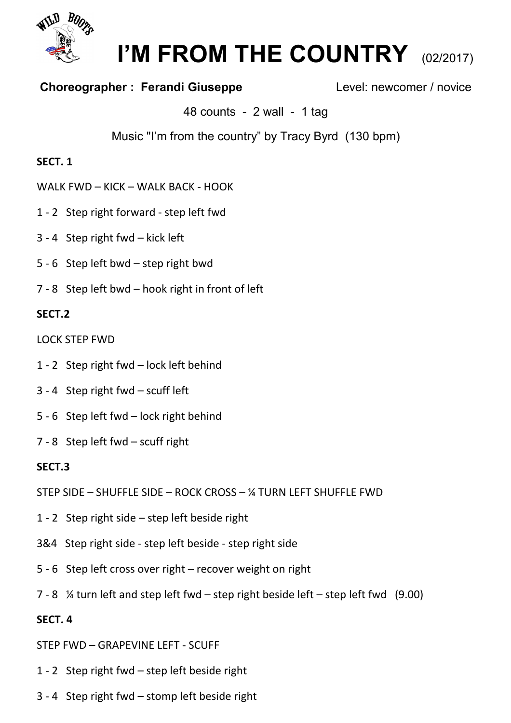

# **I'M FROM THE COUNTRY** (02/2017)

# **Choreographer : Ferandi Giuseppe Level: newcomer / novice**

48 counts - 2 wall - 1 tag

Music "I'm from the country" by Tracy Byrd (130 bpm)

# **SECT. 1**

- WALK FWD KICK WALK BACK HOOK
- 1 2 Step right forward step left fwd
- 3 4 Step right fwd kick left
- 5 6 Step left bwd step right bwd
- 7 8 Step left bwd hook right in front of left

#### **SECT.2**

LOCK STEP FWD

- 1 2 Step right fwd lock left behind
- 3 4 Step right fwd scuff left
- 5 6 Step left fwd lock right behind
- 7 8 Step left fwd scuff right

### **SECT.3**

- STEP SIDE SHUFFLE SIDE ROCK CROSS ¼ TURN LEFT SHUFFLE FWD
- 1 2 Step right side step left beside right
- 3&4 Step right side step left beside step right side
- 5 6 Step left cross over right recover weight on right
- 7 8 ¼ turn left and step left fwd step right beside left step left fwd (9.00)

### **SECT. 4**

- STEP FWD GRAPEVINE LEFT SCUFF
- 1 2 Step right fwd step left beside right
- 3 4 Step right fwd stomp left beside right